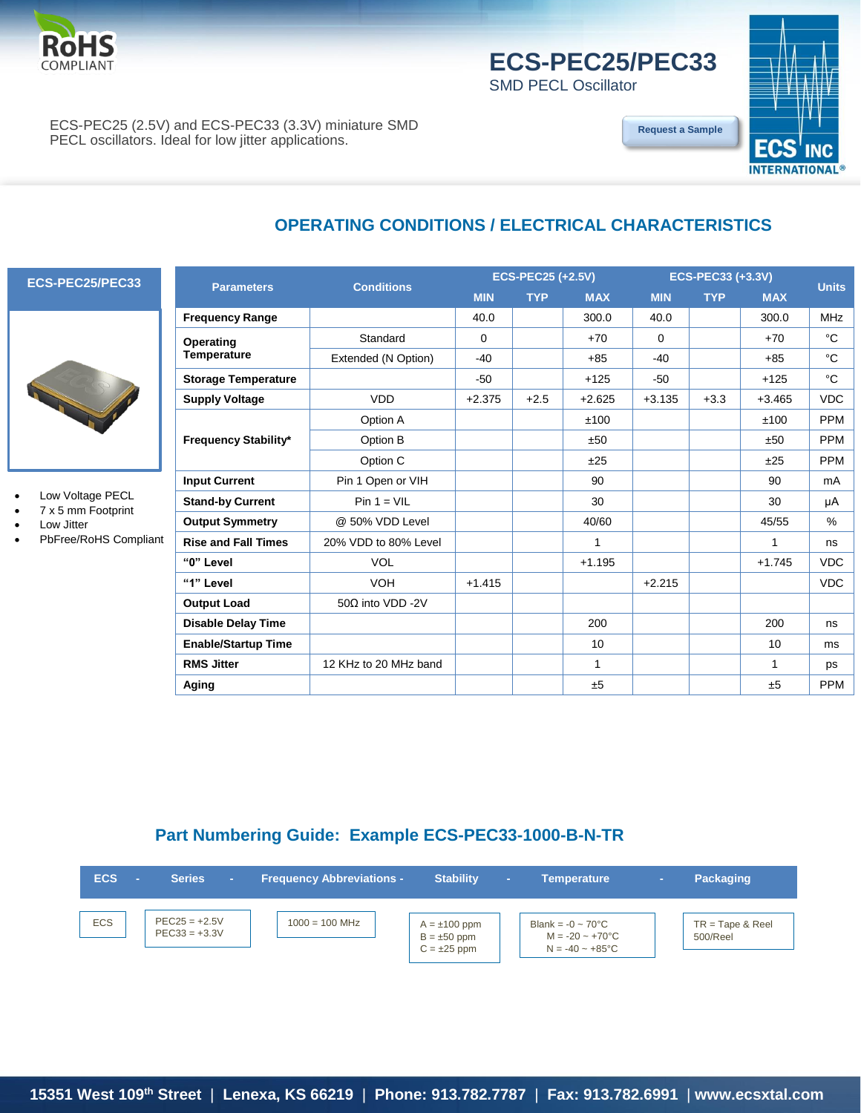

# **ECS-PEC25/PEC33**

**[Request a Sample](http://ecsxtalportal.com/samplepilot/samplerequest.php)**

SMD PECL Oscillator

ECS-PEC25 (2.5V) and ECS-PEC33 (3.3V) miniature SMD PECL oscillators. Ideal for low jitter applications.



## **OPERATING CONDITIONS / ELECTRICAL CHARACTERISTICS**

#### **ECS-PEC25/PEC33**



- Low Voltage PECL
- 7 x 5 mm Footprint
- Low Jitter
- PbFree/RoHS Compliant

|                            |                          |            | <b>ECS-PEC25 (+2.5V)</b> |            | <b>ECS-PEC33 (+3.3V)</b> |            |            | <b>Units</b>  |
|----------------------------|--------------------------|------------|--------------------------|------------|--------------------------|------------|------------|---------------|
| <b>Parameters</b>          | <b>Conditions</b>        | <b>MIN</b> | <b>TYP</b>               | <b>MAX</b> | <b>MIN</b>               | <b>TYP</b> | <b>MAX</b> |               |
| Frequency Range            |                          | 40.0       |                          | 300.0      | 40.0                     |            | 300.0      | <b>MHz</b>    |
| Operating                  | Standard                 | 0          |                          | $+70$      | 0                        |            | $+70$      | °C            |
| <b>Temperature</b>         | Extended (N Option)      | $-40$      |                          | $+85$      | $-40$                    |            | $+85$      | °C            |
| <b>Storage Temperature</b> |                          | $-50$      |                          | $+125$     | $-50$                    |            | $+125$     | °C            |
| <b>Supply Voltage</b>      | <b>VDD</b>               | $+2.375$   | $+2.5$                   | $+2.625$   | $+3.135$                 | $+3.3$     | $+3.465$   | <b>VDC</b>    |
|                            | Option A                 |            |                          | ±100       |                          |            | ±100       | <b>PPM</b>    |
| Frequency Stability*       | Option B                 |            |                          | ±50        |                          |            | ±50        | <b>PPM</b>    |
|                            | Option C                 |            |                          | ±25        |                          |            | ±25        | <b>PPM</b>    |
| <b>Input Current</b>       | Pin 1 Open or VIH        |            |                          | 90         |                          |            | 90         | mA            |
| <b>Stand-by Current</b>    | $Pin 1 = VIL$            |            |                          | 30         |                          |            | 30         | μA            |
| Output Symmetry            | @ 50% VDD Level          |            |                          | 40/60      |                          |            | 45/55      | $\frac{9}{6}$ |
| <b>Rise and Fall Times</b> | 20% VDD to 80% Level     |            |                          | 1          |                          |            | 1          | ns            |
| "0" Level                  | <b>VOL</b>               |            |                          | $+1.195$   |                          |            | $+1.745$   | <b>VDC</b>    |
| "1" Level                  | <b>VOH</b>               | $+1.415$   |                          |            | $+2.215$                 |            |            | <b>VDC</b>    |
| <b>Output Load</b>         | 50 $\Omega$ into VDD -2V |            |                          |            |                          |            |            |               |
| <b>Disable Delay Time</b>  |                          |            |                          | 200        |                          |            | 200        | ns            |
| <b>Enable/Startup Time</b> |                          |            |                          | 10         |                          |            | 10         | ms            |
| <b>RMS Jitter</b>          | 12 KHz to 20 MHz band    |            |                          | 1          |                          |            | 1          | ps            |
| Aging                      |                          |            |                          | ±5         |                          |            | ±5         | <b>PPM</b>    |

### **Part Numbering Guide: Example ECS-PEC33-1000-B-N-TR**

| <b>ECS</b> | <b>Series</b>                      | <b>Frequency Abbreviations -</b> | <b>Stability</b>                                          | <b>College</b> | <b>Temperature</b>                                                                     | ٠ | <b>Packaging</b>               |
|------------|------------------------------------|----------------------------------|-----------------------------------------------------------|----------------|----------------------------------------------------------------------------------------|---|--------------------------------|
| <b>ECS</b> | $PEC25 = +2.5V$<br>$PEC33 = +3.3V$ | $1000 = 100$ MHz                 | $A = \pm 100$ ppm<br>$B = \pm 50$ ppm<br>$C = \pm 25$ ppm |                | Blank = $-0 \sim 70^{\circ}$ C<br>$M = -20 - +70^{\circ}C$<br>$N = -40 - +85^{\circ}C$ |   | $TR = Tape & Reel$<br>500/Reel |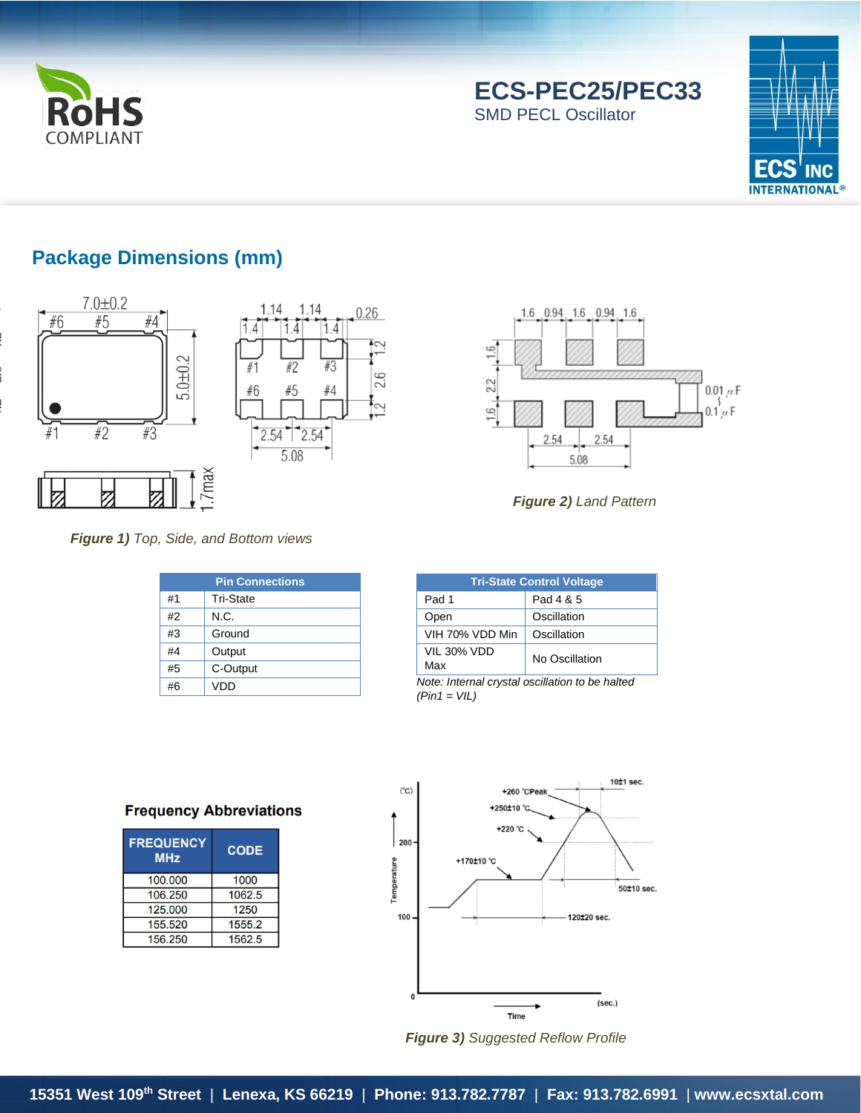

# **ECS-PEC25/PEC33**

SMD PECL Oscillator



## **Package Dimensions (mm)**





#### *Figure 1) Top, Side, and Bottom views*

.7max

|    | <b>Pin Connections</b> |  |  |  |  |
|----|------------------------|--|--|--|--|
| #1 | <b>Tri-State</b>       |  |  |  |  |
| #2 | N.C.                   |  |  |  |  |
| #3 | Ground                 |  |  |  |  |
| #4 | Output                 |  |  |  |  |
| #5 | C-Output               |  |  |  |  |
| #6 | VDD                    |  |  |  |  |



*Figure 2) Land Pattern*

| <b>Tri-State Control Voltage</b>                |             |  |  |  |  |
|-------------------------------------------------|-------------|--|--|--|--|
| Pad 1                                           | Pad 4 & 5   |  |  |  |  |
| Open                                            | Oscillation |  |  |  |  |
| VIH 70% VDD Min                                 | Oscillation |  |  |  |  |
| VIL 30% VDD<br>No Oscillation<br>Max            |             |  |  |  |  |
| Note: Internal envetal oppillation to be halted |             |  |  |  |  |

*Note: Internal crystal oscillation to be halted (Pin1 = VIL)*

#### **Frequency Abbreviations**

| <b>FREQUENCY</b><br><b>MHz</b> | <b>CODE</b> |
|--------------------------------|-------------|
| 100,000                        | 1000        |
| 106,250                        | 1062.5      |
| 125.000                        | 1250        |
| 155.520                        | 1555.2      |
| 156,250                        | 1562.5      |



*Figure 3) Suggested Reflow Profile*